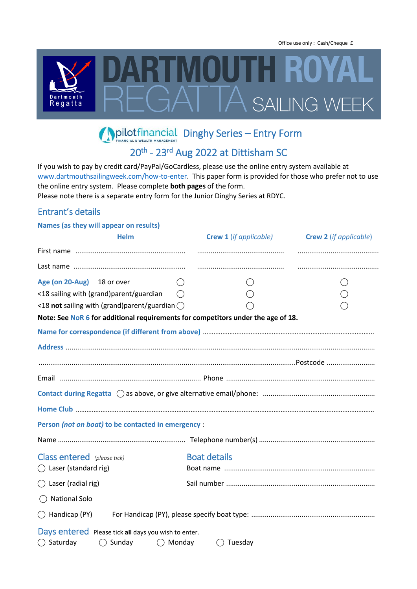Office use only : Cash/Cheque £



**Dinghy Series – Entry Form** 

# 20<sup>th</sup> - 23<sup>rd</sup> Aug 2022 at Dittisham SC

If you wish to pay by credit card/PayPal/GoCardless, please use the online entry system available at www.dartmouthsailingweek.com/how-to-enter</u>. This paper form is provided for those who prefer not to use the online entry system. Please complete **both pages** of the form.

Please note there is a separate entry form for the Junior Dinghy Series at RDYC.

#### Entrant's details

| Names (as they will appear on results)                                           |                               |                               |
|----------------------------------------------------------------------------------|-------------------------------|-------------------------------|
| <b>Helm</b>                                                                      | <b>Crew 1</b> (if applicable) | <b>Crew 2</b> (if applicable) |
|                                                                                  |                               |                               |
|                                                                                  |                               |                               |
| Age (on 20-Aug) 18 or over                                                       |                               |                               |
| <18 sailing with (grand)parent/guardian                                          |                               |                               |
| <18 not sailing with (grand)parent/guardian $\bigcirc$                           |                               |                               |
| Note: See NoR 6 for additional requirements for competitors under the age of 18. |                               |                               |
|                                                                                  |                               |                               |
|                                                                                  |                               |                               |
|                                                                                  |                               |                               |
|                                                                                  |                               |                               |
|                                                                                  |                               |                               |
|                                                                                  |                               |                               |
| Person (not on boat) to be contacted in emergency :                              |                               |                               |
|                                                                                  |                               |                               |
| <b>Class entered</b> (please tick)                                               | <b>Boat details</b>           |                               |
| $\bigcirc$ Laser (standard rig)                                                  |                               |                               |
| $\bigcirc$ Laser (radial rig)                                                    |                               |                               |
| <b>National Solo</b><br>( )                                                      |                               |                               |
| $\bigcap$ Handicap (PY)                                                          |                               |                               |
| Days entered Please tick all days you wish to enter.                             |                               |                               |
| $\bigcirc$ Sunday<br>$\bigcap$ Saturday<br>$\bigcap$ Monday                      | $\bigcap$ Tuesday             |                               |